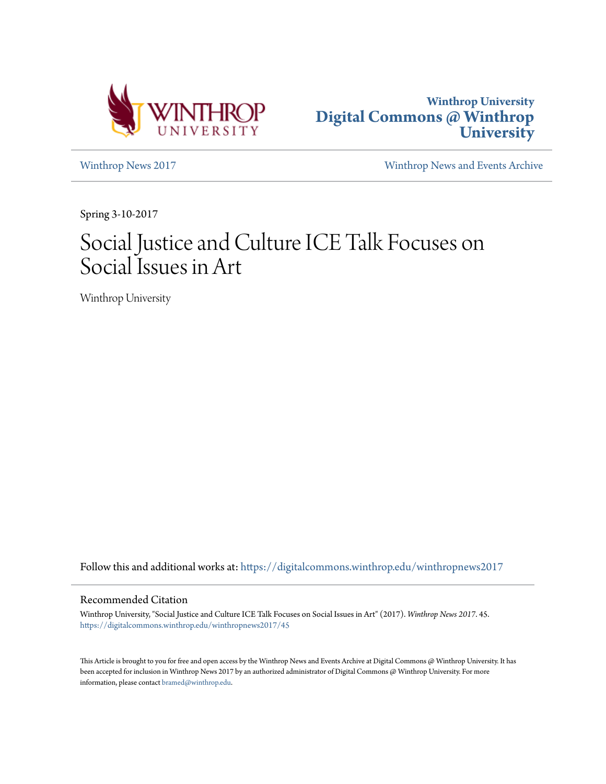



[Winthrop News 2017](https://digitalcommons.winthrop.edu/winthropnews2017?utm_source=digitalcommons.winthrop.edu%2Fwinthropnews2017%2F45&utm_medium=PDF&utm_campaign=PDFCoverPages) [Winthrop News and Events Archive](https://digitalcommons.winthrop.edu/winthropnewsarchives?utm_source=digitalcommons.winthrop.edu%2Fwinthropnews2017%2F45&utm_medium=PDF&utm_campaign=PDFCoverPages)

Spring 3-10-2017

## Social Justice and Culture ICE Talk Focuses on Social Issues in Art

Winthrop University

Follow this and additional works at: [https://digitalcommons.winthrop.edu/winthropnews2017](https://digitalcommons.winthrop.edu/winthropnews2017?utm_source=digitalcommons.winthrop.edu%2Fwinthropnews2017%2F45&utm_medium=PDF&utm_campaign=PDFCoverPages)

### Recommended Citation

Winthrop University, "Social Justice and Culture ICE Talk Focuses on Social Issues in Art" (2017). *Winthrop News 2017*. 45. [https://digitalcommons.winthrop.edu/winthropnews2017/45](https://digitalcommons.winthrop.edu/winthropnews2017/45?utm_source=digitalcommons.winthrop.edu%2Fwinthropnews2017%2F45&utm_medium=PDF&utm_campaign=PDFCoverPages)

This Article is brought to you for free and open access by the Winthrop News and Events Archive at Digital Commons @ Winthrop University. It has been accepted for inclusion in Winthrop News 2017 by an authorized administrator of Digital Commons @ Winthrop University. For more information, please contact [bramed@winthrop.edu](mailto:bramed@winthrop.edu).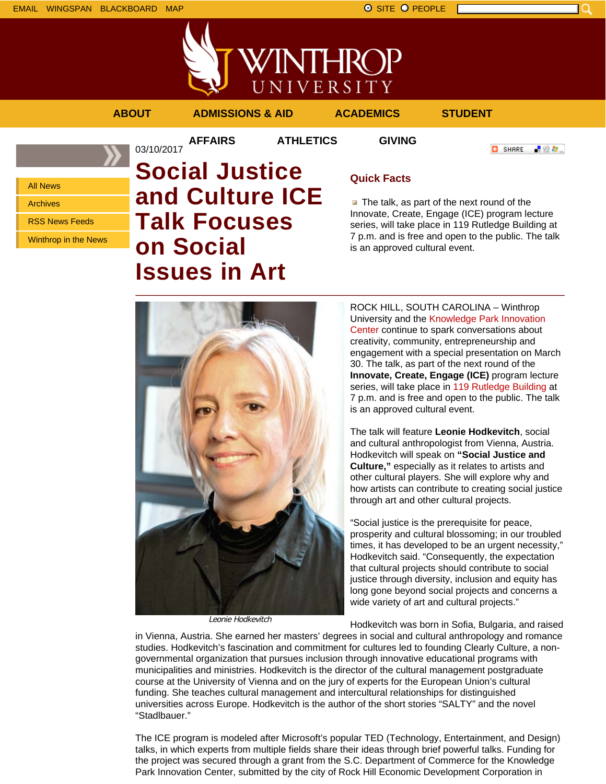

**AFFAIRS ATHLETICS GIVING**

03/10/2017

```
ABOUT ADMISSIONS & AID ACADEMICS STUDENT
```
**O** SHARE

「验費」

All News

Archives

RSS News Feeds

Winthrop in the News

# **Social Justice and Culture ICE Talk Focuses on Social Issues in Art**

## **Quick Facts**

 $\blacksquare$  The talk, as part of the next round of the Innovate, Create, Engage (ICE) program lecture series, will take place in 119 Rutledge Building at 7 p.m. and is free and open to the public. The talk is an approved cultural event.



Leonie Hodkevitch

ROCK HILL, SOUTH CAROLINA – Winthrop University and the Knowledge Park Innovation Center continue to spark conversations about creativity, community, entrepreneurship and engagement with a special presentation on March 30. The talk, as part of the next round of the **Innovate, Create, Engage (ICE)** program lecture series, will take place in 119 Rutledge Building at 7 p.m. and is free and open to the public. The talk is an approved cultural event.

The talk will feature **Leonie Hodkevitch**, social and cultural anthropologist from Vienna, Austria. Hodkevitch will speak on **"Social Justice and Culture,"** especially as it relates to artists and other cultural players. She will explore why and how artists can contribute to creating social justice through art and other cultural projects.

"Social justice is the prerequisite for peace, prosperity and cultural blossoming; in our troubled times, it has developed to be an urgent necessity," Hodkevitch said. "Consequently, the expectation that cultural projects should contribute to social justice through diversity, inclusion and equity has long gone beyond social projects and concerns a wide variety of art and cultural projects."

Hodkevitch was born in Sofia, Bulgaria, and raised in Vienna, Austria. She earned her masters' degrees in social and cultural anthropology and romance studies. Hodkevitch's fascination and commitment for cultures led to founding Clearly Culture, a nongovernmental organization that pursues inclusion through innovative educational programs with municipalities and ministries. Hodkevitch is the director of the cultural management postgraduate course at the University of Vienna and on the jury of experts for the European Union's cultural funding. She teaches cultural management and intercultural relationships for distinguished universities across Europe. Hodkevitch is the author of the short stories "SALTY" and the novel "Stadlbauer."

The ICE program is modeled after Microsoft's popular TED (Technology, Entertainment, and Design) talks, in which experts from multiple fields share their ideas through brief powerful talks. Funding for the project was secured through a grant from the S.C. Department of Commerce for the Knowledge Park Innovation Center, submitted by the city of Rock Hill Economic Development Corporation in